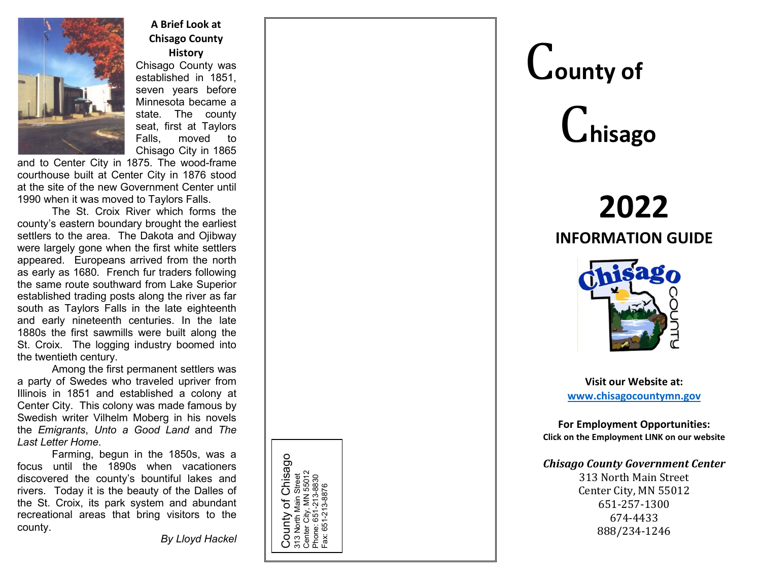

**A Brief Look at Chisago County History**

Chisago County was established in 1851, seven years before Minnesota became a state. The county seat, first at Taylors Falls, moved to Chisago City in 1865

and to Center City in 1875. The wood-frame courthouse built at Center City in 1876 stood at the site of the new Government Center until 1990 when it was moved to Taylors Falls.

The St. Croix River which forms the county's eastern boundary brought the earliest settlers to the area. The Dakota and Ojibway were largely gone when the first white settlers appeared. Europeans arrived from the north as early as 1680. French fur traders following the same route southward from Lake Superior established trading posts along the river as far south as Taylors Falls in the late eighteenth and early nineteenth centuries. In the late 1880s the first sawmills were built along the St. Croix. The logging industry boomed into the twentieth century.

Among the first permanent settlers was a party of Swedes who traveled upriver from Illinois in 1851 and established a colony at Center City. This colony was made famous by Swedish writer Vilhelm Moberg in his novels the *Emigrants*, *Unto a Good Land* and *The Last Letter Home.*

Farming, begun in the 1850s, was a focus until the 1890s when vacationers discovered the county's bountiful lakes and rivers. Today it is the beauty of the Dalles of the St. Croix, its park system and abundant recreational areas that bring visitors to the county.

*By Lloyd Hackel*

Chisago County of Chisago 55012<br>8830 Center City, MN 55012 Street 313 North Main Street Phone: 651-213-8830 Fax: 651-213-8876Ⴆ Main County 313 Nort<br>Center C<br>Phone: 651<br>Fax: 651

## C**ounty of**

# C**hisago**

### **2022 INFORMATION GUIDE**



**Visit our Website at: [www.chisagocountymn.gov](http://www.chisagocountymn.gov/)**

**For Employment Opportunities: Click on the Employment LINK on our website**

*Chisago County Government Center* 313 North Main Street Center City, MN 55012 651 -257 -1300

674 -4433 888/234 -1246